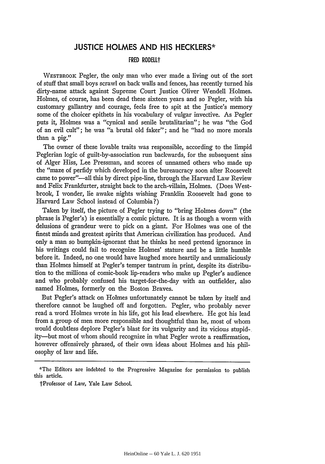# **JUSTICE HOLMES AND HIS HECKLERS\***

### FRED **RODELLt**

WESTBROOK Pegler, the only man who ever made a living out of the sort of stuff that small boys scrawl on back walls and fences, has recently turned his dirty-name attack against Supreme Court Justice Oliver Wendell Holmes. Holmes, of course, has been dead these sixteen years and so Pegler, with his customary gallantry and courage, feels free to spit at the Justice's memory some of the choicer epithets in his vocabulary of vulgar invective. As Pegler puts it, Holmes was a "cynical and senile brutalitarian"; he was "the God of an evil cult"; he was "a brutal old faker"; and he "had no more morals than a pig."

The owner of these lovable traits was responsible, according to the limpid Peglerian logic of guilt-by-association run backvards, for the subsequent sins of Alger Hiss, Lee Pressman, and scores of unnamed others who made up the "maze of perfidy which developed in the bureaucracy soon after Roosevelt came to power"-all this by direct pipe-line, through the Harvard Law Review and Felix Frankfurter, straight back to the arch-villain, Holmes. (Does Westbrook, I wonder, lie awake nights wishing Franklin Roosevelt had gone to Harvard Law School instead of Columbia?)

Taken by itself, the picture of Pegler trying to "bring Holmes down" (the phrase is Pegler's) is essentially a comic picture. It is as though a worm with delusions of grandeur were to pick on a giant. For Holmes was one of the finest minds and greatest spirits that American civilization has produced. And only a man so bumpkin-ignorant that he thinks he need pretend ignorance in his writings could fail to recognize Holmes' stature and be a little humble before it. Indeed, no one would have laughed more heartily and unmaliciously than Holmes himself at Pegler's temper tantrum in print, despite its distribution to the millions of comic-book lip-readers who make up Pegler's audience and who probably confused his target-for-the-day with an outfielder, also named Holmes, formerly on the Boston Braves.

But Pegler's attack on Holmes unfortunately cannot be taken by itself and therefore cannot be laughed off and forgotten. Pegler, who probably never read a word Holmes wrote in his life, got his lead elsewhere. He got his lead from a group of men more responsible and thoughtful than he, most of whom would doubtless deplore Pegler's blast for its vulgarity and its vicious stupidity-but most of whom should recognize in what Pegler wrote a reaffirmation, however offensively phrased, of their own ideas about Holmes and his philosophy of law and life.

<sup>\*</sup>The Editors are indebted to the Progressive Magazine for permission to publish this article.

tProfessor of Law, Yale Law School.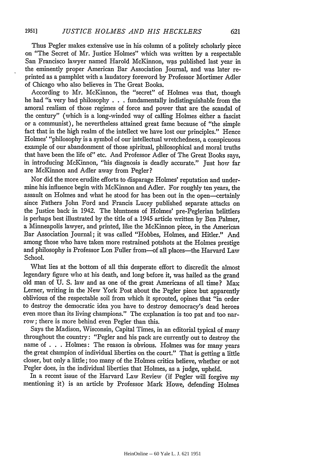# Thus Pegler makes extensive use in his column of a politely scholarly piece on "The Secret of Mr. Justice Holmes" which was written by a respectable San Francisco lawyer named Harold McKinnon, was published last year in the eminently proper American Bar Association Journal, and was later reprinted as a pamphlet with a laudatory foreword by Professor Mortimer Adler of Chicago who also believes in The Great Books.

According to Mr. McKinnon, the "secret" of Holmes was that, though he had "a very bad philosophy . . . fundamentally indistinguishable from the amoral realism of those regimes of force and power that are the scandal of the century" (which is a long-winded way of calling Holmes either a fascist or a communist), he nevertheless attained great fame because of "the simple fact that in the high realm of the intellect we have lost our principles." Hence Holmes' "philosophy is a symbol of our intellectual wretchedness, a conspicuous example of our abandonment of those spiritual, philosophical and moral truths that have been the life of" etc. And Professor Adler of The Great Books says, in introducing McKinnon, "his diagnosis is deadly accurate." Just how far are McKinnon and Adler away from Pegler?

Nor did the more erudite efforts to disparage Holmes' reputation and undermine his influence begin with McKinnon and Adler. For roughly ten years, the assault on Holmes and what he stood for has been out in the open-certainly since Fathers John Ford and Francis Lucey published separate attacks on the Justice back in 1942. The bluntness of Holmes' pre-Peglerian belittlers is perhaps best illustrated by the title of a 1945 article written by Ben Palmer, a Minneapolis lawyer, and printed, like the McKinnon piece, in the American Bar Association Journal; it was called "Hobbes, Holmes, and Hitler." And among those who have taken more restrained potshots at the Holmes prestige and philosophy is Professor Lon Fuller from-of all places-the Harvard Law School.

What lies at the bottom of all this desperate effort to discredit the almost legendary figure who at his death, and long before it, was hailed as the grand old man of U. S. law and as one of the great Americans of all time? Max Lerner, writing in the New York Post about the Pegler piece but apparently oblivious of the respectable soil from which it sprouted, opines that "in order to destroy the democratic idea you have to destroy democracy's dead heroes even more than its living champions." The explanation is too pat and too narrow; there is more behind even Pegler than this.

Says the Madison, Wisconsin, Capital Times, in an editorial typical of many throughout the country: "Pegler and his pack are currently out to destroy the name of . . . Holmes: The reason is obvious. Holmes was for many years the great champion of individual liberties on the court." That is getting a little closer, but only a little; too many of the Holmes critics believe, whether or not Pegler does, in the individual liberties that Holmes, as a judge, upheld.

In a recent issue of the Harvard Law Review (if Pegler will forgive my mentioning it) is an article by Professor Mark Howe, defending Holmes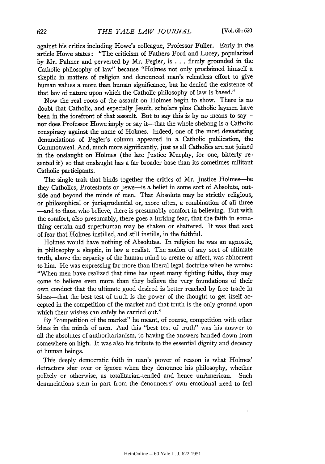against his critics including Howe's colleague, Professor Fuller. Early in the article Howe states: "The criticism of Fathers Ford and Lucey, popularized by Mr. Palmer and perverted by Mr. Pegler, is . . . firmly grounded in the Catholic philosophy of law" because "Holmes not only proclaimed himself a skeptic in matters of religion and denounced man's relentless effort to give human values a more than human significance, but he denied the existence of that law of nature upon which the Catholic philosophy of law is based."

Now the real roots of the assault on Holmes begin to show. There is no doubt that Catholic, and especially Jesuit, scholars plus Catholic laymen have been in the forefront of that assault. But to say this is by no means to saynor does Professor Howe imply or say it-that the whole shebang is a Catholic conspiracy against the name of Holmes. Indeed, one of the most devastating denunciations of Pegler's column appeared in a Catholic publication, the Commonweal. And, much more significantly, just as all Catholics are not joined in the onslaught on Holmes (the late Justice Murphy, for one, bitterly resented it) so that onslaught has a far broader base than its sometimes militant Catholic participants.

The single trait that binds together the critics of Mr. Justice Holmes-be they Catholics, Protestants or Jews-is a belief in some sort of Absolute, outside and beyond the minds of men. That Absolute may be strictly religious, or philosophical or jurisprudential or, more often, a combination of all three -and to those who believe, there is presumably comfort in believing. But with the comfort, also presumably, there goes a lurking fear, that the faith in something certain and superhuman may be shaken or shattered. It was that sort of fear that Holmes instilled, and still instills, in the faithful.

Holmes would have nothing of Absolutes. In religion he was an agnostic, in philosophy a skeptic, in law a realist. The notion of any sort of ultimate truth, above the capacity of the human mind to create or affect, was abhorrent to him. He was expressing far more than liberal legal doctrine when he wrote: "When men have realized that time has upset many fighting faiths, they may come to believe even more than they believe the very foundations of their own conduct that the ultimate good desired is better reached by free trade in ideas-that the best test of truth is the power of the thought to get itself accepted in the competition of the market and that truth is the only ground upon which their wishes can safely be carried out."

By "competition of the market" he meant, of course, competition with other ideas in the minds of men. And this "best test of truth" was his answer to all the absolutes of authoritarianism, to having the answers handed down from somewhere on high. It was also his tribute to the essential dignity and decency of human beings.

This deeply democratic faith in man's power of reason is what Holmes' detractors slur over or ignore when they denounce his philosophy, whether politely or otherwise, as totalitarian-tended and hence unAmerican. Such denunciations stem in part from the denouncers' own emotional need to feel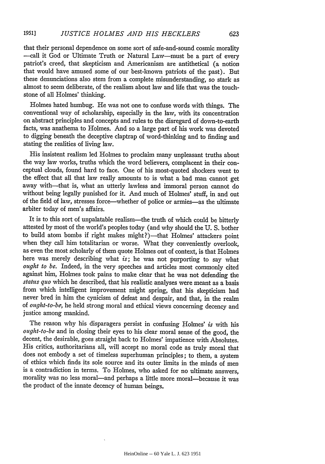## 623

that their personal dependence on some sort of safe-and-sound cosmic morality -- call it God or Ultimate Truth or Natural Law-must be a part of every patriot's creed, that skepticism and Americanism are antithetical (a notion that would have amused some of our best-known patriots of the past). But these denunciations also stem from a complete misunderstanding, so stark as almost to seem deliberate, of the realism about law and life that was the touchstone of all Holmes' thinking.

Holmes hated humbug. He was not one to confuse words with things. The conventional way of scholarship, especially in the law, with its concentration on abstract principles and concepts and rules to the disregard of down-to-earth facts, was anathema to Holmes. And so a large part of his work was devoted to digging beneath the deceptive claptrap of word-thinking and to finding and stating the realities of living law.

His insistent realism led Holmes to proclaim many unpleasant truths about the way law works, truths which the word believers, complacent in their conceptual clouds, found hard to face. One of his most-quoted shockers went to the effect that all that law really amounts to is what a bad man cannot get away with-that is, what an utterly lawless and immoral person cannot do without being legally punished for it. And much of Holmes' stuff, in and out of the field of law, stresses force-whether of police or armies-as the ultimate arbiter today of men's affairs.

It is to this sort of unpalatable realism-the truth of which could be bitterly attested by most of the world's peoples today (and why should the U. S. bother to build atom bombs if right makes might?)-that Holmes' attackers point when they call him totalitarian or worse. What they conveniently overlook, as even the most scholarly of them quote Holmes out of context, is that Holmes here was merely describing what is; he was not purporting to say what *ought to be.* Indeed, in the very speeches and articles most commonly cited against him, Holmes took pains to make clear that he was not defending the *status quo* which he described, that his realistic analyses were meant as a basis from which intelligent improvement might spring, that his skepticism had never bred in him the cynicism of defeat and despair, and that, in the realm of *ought-to-be,* he held strong moral and ethical views concerning decency and justice among mankind.

The reason why his disparagers persist in confusing Holmes' *is* with his *ought-to-be* and in closing their eyes to his clear moral sense of the good, the decent, the desirable, goes straight back to Holmes' impatience with Absolutes. His critics, authoritarians all, will accept no moral code as truly moral that does not embody a set of timeless superhuman principles; to them, a system of ethics which finds its sole source and its outer limits in the minds of men is a contradiction in terms. To Holmes, who asked for no ultimate answers, morality was no less moral—and perhaps a little more moral—because it was the product of the innate decency of human beings.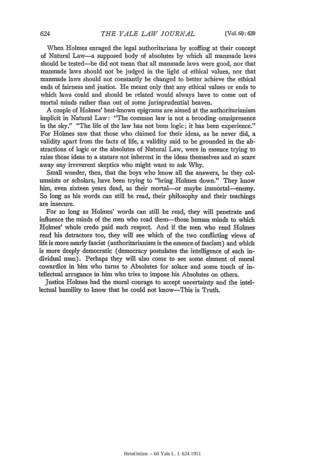When Holmes enraged the legal authoritarians by scoffing at their concept of Natural Law-a supposed body of absolutes by which all manmade laws should be tested-he did not mean that all manmade laws were good, nor that manmade laws should not be judged in the light of ethical values, nor that manmade laws should not constantly be changed to better achieve the ethical ends of fairness and justice. He meant only that any ethical values or ends to which laws could and should be related would always have to come out of mortal minds rather than out of some jurisprudential heaven.

A couple of Holmes' best-known epigrams are aimed at the authoritarianism implicit in Natural Law: "The common law is not a brooding omnipresence in the sky." "The life of the law has not been logic; it has been experience." For Holmes saw that those who claimed for their ideas, as he never did, a validity apart from the facts of life, a validity said to be grounded in the abstractions of logic or the absolutes of Natural Law, were in essence trying to raise those ideas to a stature not inherent in the ideas themselves and so scare away any irreverent skeptics who might want to ask Why.

Small wonder, then, that the boys who know all the answers, be they columnists or scholars, have been trying to "bring Holmes down." They know him, even sixteen years dead, as their mortal---or maybe immortal---enemy. So long as his words can still be read, their philosophy and their teachings are insecure.

For so long as Holmes' words can still be read, they will penetrate and influence the minds of the men who read them-those human minds to which Holmes' whole credo paid such respect. And if the men who read Holmes read his detractors too, they will see which of the two conflicting views of life is more nearly fascist (authoritarianism is the essence of fascism) and which is more deeply democratic (democracy postulates the intelligence of each individual man). Perhaps they will also come to see some element of moral cowardice in him who turns to Absolutes for solace and some touch of intellectual arrogance in him who tries to impose his Absolutes on others.

Justice Holmes had the moral courage to accept uncertainty and the intellectual humility to know that he could not know-This is Truth.